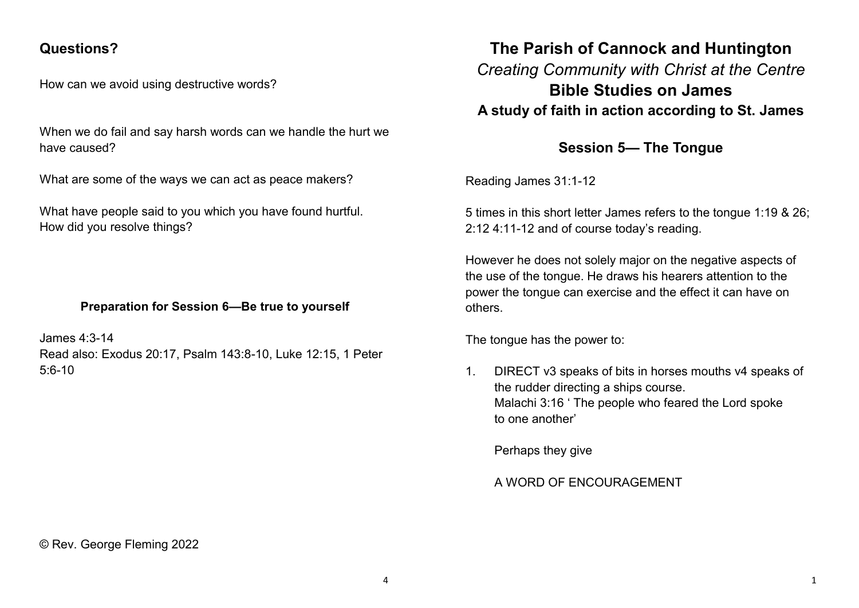## **Questions?**

How can we avoid using destructive words?

When we do fail and say harsh words can we handle the hurt we have caused?

What are some of the ways we can act as peace makers?

What have people said to you which you have found hurtful. How did you resolve things?

### **Preparation for Session 6—Be true to yourself**

James 4:3-14 Read also: Exodus 20:17, Psalm 143:8-10, Luke 12:15, 1 Peter  $5.6 - 10$ 

# **The Parish of Cannock and Huntington** *Creating Community with Christ at the Centre* **Bible Studies on James A study of faith in action according to St. James**

## **Session 5— The Tongue**

Reading James 31:1-12

5 times in this short letter James refers to the tongue 1:19 & 26; 2:12 4:11-12 and of course today's reading.

However he does not solely major on the negative aspects of the use of the tongue. He draws his hearers attention to the power the tongue can exercise and the effect it can have on others.

The tongue has the power to:

1. DIRECT v3 speaks of bits in horses mouths v4 speaks of the rudder directing a ships course. Malachi 3:16 ' The people who feared the Lord spoke to one another'

Perhaps they give

### A WORD OF ENCOURAGEMENT